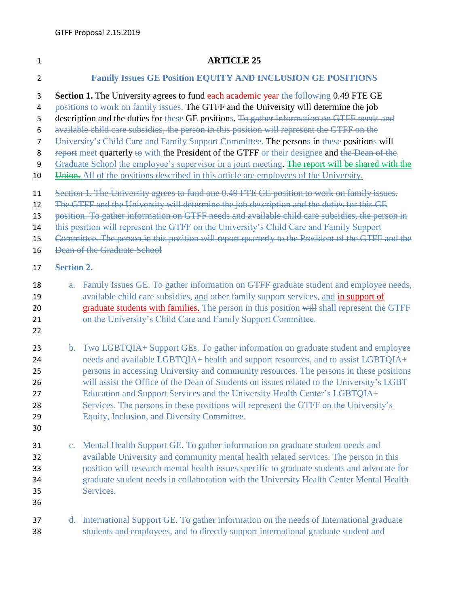## **ARTICLE 25**

## **Family Issues GE Position EQUITY AND INCLUSION GE POSITIONS**

**Section 1.** The University agrees to fund each academic year the following 0.49 FTE GE

4 positions to work on family issues. The GTFF and the University will determine the job

- 5 description and the duties for these GE positions. To gather information on GTFF needs and
- available child care subsidies, the person in this position will represent the GTFF on the
- University's Child Care and Family Support Committee. The persons in these positions will

8 report meet quarterly to with the President of the GTFF or their designee and the Dean of the

9 Graduate School the employee's supervisor in a joint meeting. The report will be shared with the

- 10 Union. All of the positions described in this article are employees of the University.
- Section 1. The University agrees to fund one 0.49 FTE GE position to work on family issues.
- 12 The GTFF and the University will determine the job description and the duties for this GE

position. To gather information on GTFF needs and available child care subsidies, the person in

this position will represent the GTFF on the University's Child Care and Family Support

Committee. The person in this position will report quarterly to the President of the GTFF and the

- Dean of the Graduate School
- **Section 2.**
- 18 a. Family Issues GE. To gather information on GTFF-graduate student and employee needs, available child care subsidies, and other family support services, and in support of 20 graduate students with families. The person in this position will shall represent the GTFF 21 on the University's Child Care and Family Support Committee.
- 
- 23 b. Two LGBTQIA+ Support GEs. To gather information on graduate student and employee needs and available LGBTQIA+ health and support resources, and to assist LGBTQIA+ persons in accessing University and community resources. The persons in these positions will assist the Office of the Dean of Students on issues related to the University's LGBT Education and Support Services and the University Health Center's LGBTQIA+ Services. The persons in these positions will represent the GTFF on the University's Equity, Inclusion, and Diversity Committee.
- 
- c. Mental Health Support GE. To gather information on graduate student needs and available University and community mental health related services. The person in this position will research mental health issues specific to graduate students and advocate for graduate student needs in collaboration with the University Health Center Mental Health Services.
- 
- d. International Support GE. To gather information on the needs of International graduate students and employees, and to directly support international graduate student and